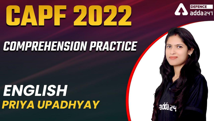# HAPE ZIPZ



# **COMPREHENSION PRACTICE**

# ENGLISH PRIYA UPADHYAY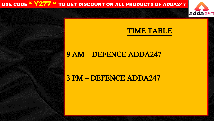#### USE CODE " Y277 " TO GET DISCOUNT ON ALL PRODUCTS OF ADDA247



## TIME TABLE

## 9 AM – DEFENCE ADDA247

### 3 PM – DEFENCE ADDA247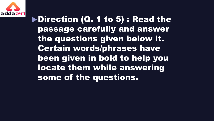

Direction (Q. 1 to 5): Read the passage carefully and answer the questions given below it. Certain words/phrases have been given in bold to help you locate them while answering some of the questions.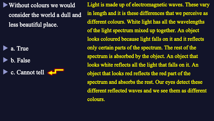Without colours we would consider the world a dull and less beautiful place.

 a. True b. False

c. Cannot tell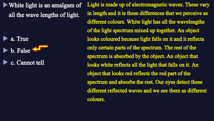White light is an amalgam of all the wave lengths of light.

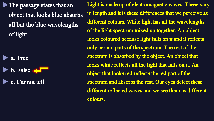The passage states that an object that looks blue absorbs all but the blue wavelengths of light.

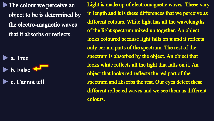The colour we perceive an object to be is determined by the electro-magnetic waves that it absorbs or reflects.

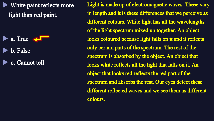White paint reflects more light than red paint.

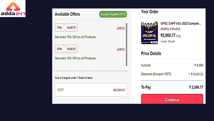

|                                                |                       |                                                                               | <b>Continue</b>            |  |
|------------------------------------------------|-----------------------|-------------------------------------------------------------------------------|----------------------------|--|
| Y277                                           | <b>REMOVE</b>         | <b>To Pay</b>                                                                 | ₹2,069.77                  |  |
| Got a Coupon code ? Enter it here              |                       | Discount (Coupon Y277)                                                        | $-$ ₹ 6,929.23             |  |
|                                                |                       | Subtotal                                                                      | ₹8,999                     |  |
| 15% MAY15<br>Get extra 15% Off on all Products | <b>APPLY</b>          | <b>Price Details</b>                                                          | ₹ 8,999 77% off            |  |
| 75% MAY75<br>Get extra 75% Off on all Products | <b>APPLY</b>          | (Validity 6 Months)<br>₹2,069.77 Only<br>UPSC CAPF ACs<br>2022 Complete Batch | UPSC CAPF ACs 2022 Complet |  |
| <b>Avaliable Offers</b>                        | (Coupon Applied Y277) | <b>Your Order</b>                                                             |                            |  |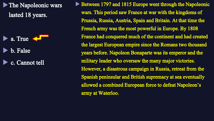The Napoleonic wars lasted 18 years.



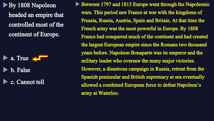By 1808 Napoleon headed an empire that controlled most of the continent of Europe.

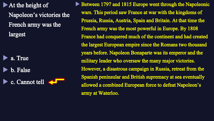At the height of Napoleon's victories the French army was the largest





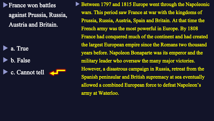France won battles against Prussia, Russia, Austria and Britain.

 a. True b. False c. Cannot tell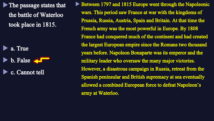

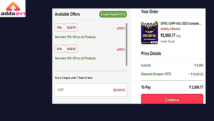

|                                                |                       |                                                                               | <b>Continue</b>            |  |
|------------------------------------------------|-----------------------|-------------------------------------------------------------------------------|----------------------------|--|
| Y277                                           | <b>REMOVE</b>         | <b>To Pay</b>                                                                 | ₹2,069.77                  |  |
| Got a Coupon code ? Enter it here              |                       | Discount (Coupon Y277)                                                        | $-$ ₹ 6,929.23             |  |
|                                                |                       | Subtotal                                                                      | ₹8,999                     |  |
| 15% MAY15<br>Get extra 15% Off on all Products | <b>APPLY</b>          | <b>Price Details</b>                                                          | ₹ 8,999 77% off            |  |
| 75% MAY75<br>Get extra 75% Off on all Products | <b>APPLY</b>          | (Validity 6 Months)<br>₹2,069.77 Only<br>UPSC CAPF ACs<br>2022 Complete Batch | UPSC CAPF ACs 2022 Complet |  |
| <b>Avaliable Offers</b>                        | (Coupon Applied Y277) | <b>Your Order</b>                                                             |                            |  |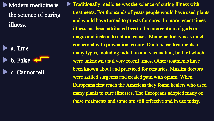**Modern medicine is** the science of curing illness.

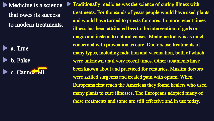Medicine is a science that owes its success to modern treatments.

 a. True b. False c. Cannot tell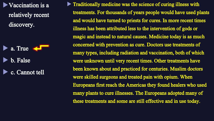Vaccination is a relatively recent discovery.

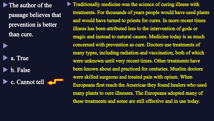The author of the passage believes that prevention is better than cure.



 $\blacktriangleright$